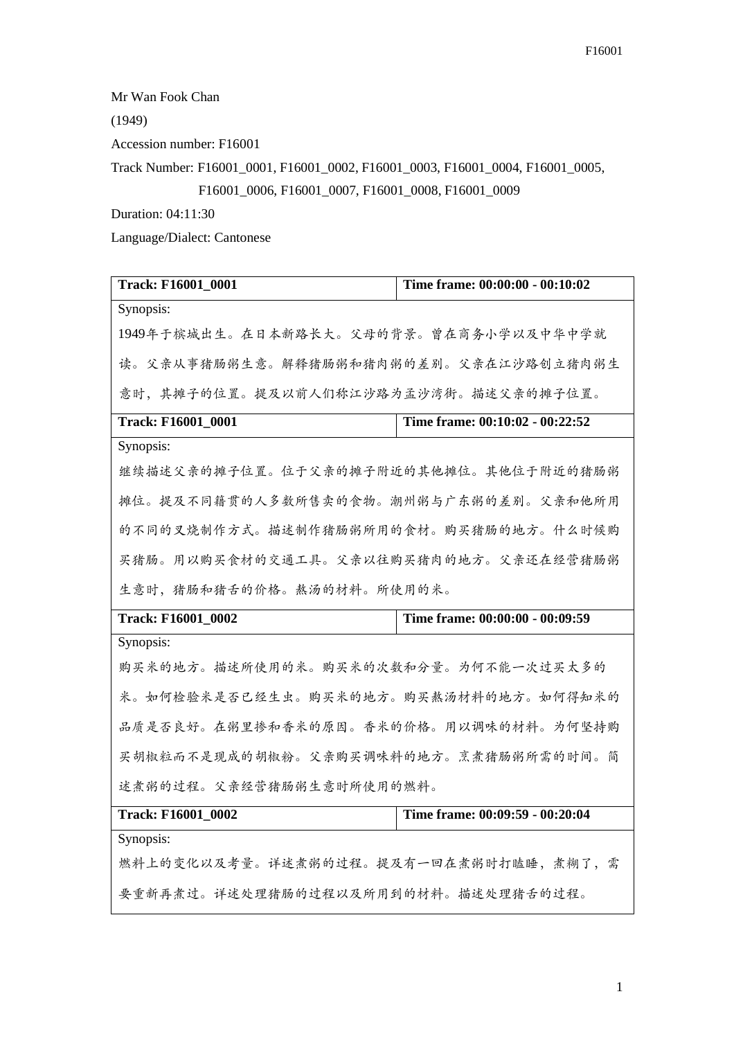Mr Wan Fook Chan

(1949)

Accession number: F16001

Track Number: F16001\_0001, F16001\_0002, F16001\_0003, F16001\_0004, F16001\_0005, F16001\_0006, F16001\_0007, F16001\_0008, F16001\_0009

Duration: 04:11:30

Language/Dialect: Cantonese

| <b>Track: F16001 0001</b>              | Time frame: 00:00:00 - 00:10:02 |  |
|----------------------------------------|---------------------------------|--|
| Synopsis:                              |                                 |  |
| 1949年于槟城出生。在日本新路长大。父母的背景。曾在商务小学以及中华中学就 |                                 |  |
| 读。父亲从事猪肠粥生意。解释猪肠粥和猪肉粥的差别。父亲在江沙路创立猪肉粥生  |                                 |  |
| 意时,其摊子的位置。提及以前人们称江沙路为孟沙湾街。描述父亲的摊子位置。   |                                 |  |
| Track: F16001_0001                     | Time frame: 00:10:02 - 00:22:52 |  |
| Synopsis:                              |                                 |  |
| 继续描述父亲的摊子位置。位于父亲的摊子附近的其他摊位。其他位于附近的猪肠粥  |                                 |  |
| 摊位。提及不同籍贯的人多数所售卖的食物。潮州粥与广东粥的差别。父亲和他所用  |                                 |  |
| 的不同的叉烧制作方式。描述制作猪肠粥所用的食材。购买猪肠的地方。什么时候购  |                                 |  |
| 买猪肠。用以购买食材的交通工具。父亲以往购买猪肉的地方。父亲还在经营猪肠粥  |                                 |  |
| 生意时,猪肠和猪舌的价格。熬汤的材料。所使用的米。              |                                 |  |
| <b>Track: F16001 0002</b>              | Time frame: 00:00:00 - 00:09:59 |  |
| Synopsis:                              |                                 |  |
| 购买米的地方。描述所使用的米。购买米的次数和分量。为何不能一次过买太多的   |                                 |  |
| 米。如何检验米是否已经生虫。购买米的地方。购买熬汤材料的地方。如何得知米的  |                                 |  |
| 品质是否良好。在粥里掺和香米的原因。香米的价格。用以调味的材料。为何坚持购  |                                 |  |
| 买胡椒粒而不是现成的胡椒粉。父亲购买调味料的地方。烹煮猪肠粥所需的时间。简  |                                 |  |
| 述煮粥的过程。父亲经营猪肠粥生意时所使用的燃料。               |                                 |  |
| Track: F16001_0002                     | Time frame: 00:09:59 - 00:20:04 |  |
| Synopsis:                              |                                 |  |
| 燃料上的变化以及考量。详述煮粥的过程。提及有一回在煮粥时打瞌睡,煮糊了,需  |                                 |  |
| 要重新再煮过。详述处理猪肠的过程以及所用到的材料。描述处理猪舌的过程。    |                                 |  |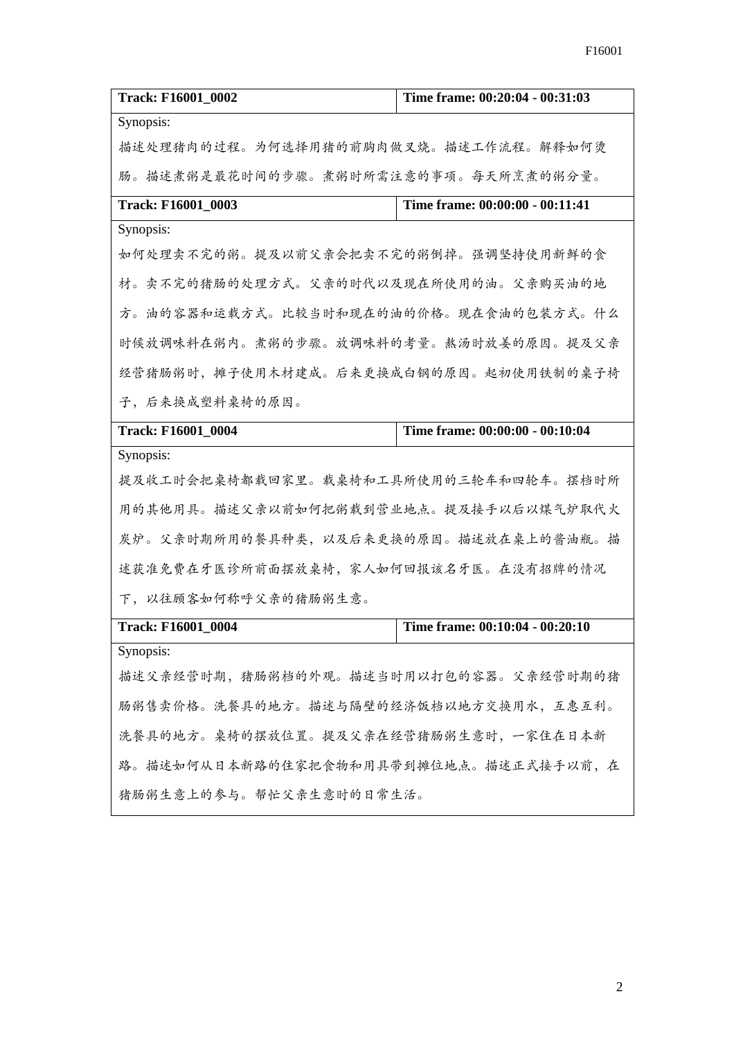| Track: F16001_0002                    | Time frame: 00:20:04 - 00:31:03 |  |
|---------------------------------------|---------------------------------|--|
| Synopsis:                             |                                 |  |
| 描述处理猪肉的过程。为何选择用猪的前胸肉做叉烧。描述工作流程。解释如何烫  |                                 |  |
| 肠。描述煮粥是最花时间的步骤。煮粥时所需注意的事项。每天所烹煮的粥分量。  |                                 |  |
| Track: F16001_0003                    | Time frame: 00:00:00 - 00:11:41 |  |
| Synopsis:                             |                                 |  |
| 如何处理卖不完的粥。提及以前父亲会把卖不完的粥倒掉。强调坚持使用新鲜的食  |                                 |  |
| 材。卖不完的猪肠的处理方式。父亲的时代以及现在所使用的油。父亲购买油的地  |                                 |  |
| 方。油的容器和运载方式。比较当时和现在的油的价格。现在食油的包装方式。什么 |                                 |  |
| 时候放调味料在粥内。煮粥的步骤。放调味料的考量。熬汤时放姜的原因。提及父亲 |                                 |  |
| 经营猪肠粥时,摊子使用木材建成。后来更换成白钢的原因。起初使用铁制的桌子椅 |                                 |  |
| 子,后来换成塑料桌椅的原因。                        |                                 |  |
| Track: F16001_0004                    | Time frame: 00:00:00 - 00:10:04 |  |
| Synopsis:                             |                                 |  |
| 提及收工时会把桌椅都载回家里。载桌椅和工具所使用的三轮车和四轮车。摆档时所 |                                 |  |
| 用的其他用具。描述父亲以前如何把粥载到营业地点。提及接手以后以煤气炉取代火 |                                 |  |
| 炭炉。父亲时期所用的餐具种类,以及后来更换的原因。描述放在桌上的酱油瓶。描 |                                 |  |
| 述获准免费在牙医诊所前面摆放桌椅,家人如何回报该名牙医。在没有招牌的情况  |                                 |  |
| 下,以往顾客如何称呼父亲的猪肠粥生意。                   |                                 |  |
| Track: F16001_0004                    | Time frame: 00:10:04 - 00:20:10 |  |
| Synopsis:                             |                                 |  |
| 描述父亲经营时期,猪肠粥档的外观。描述当时用以打包的容器。父亲经营时期的猪 |                                 |  |
| 肠粥售卖价格。洗餐具的地方。描述与隔壁的经济饭档以地方交换用水,互惠互利。 |                                 |  |
| 洗餐具的地方。桌椅的摆放位置。提及父亲在经营猪肠粥生意时,一家住在日本新  |                                 |  |
| 路。描述如何从日本新路的住家把食物和用具带到摊位地点。描述正式接手以前,在 |                                 |  |
| 猪肠粥生意上的参与。帮忙父亲生意时的日常生活。               |                                 |  |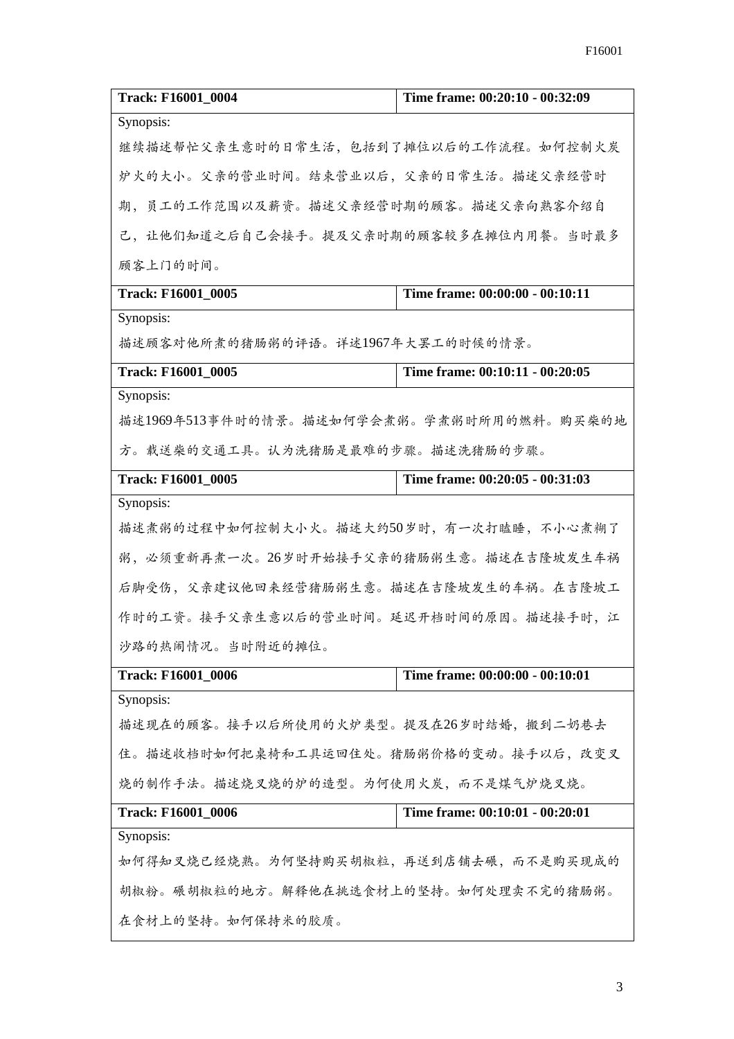| <b>Track: F16001_0004</b>                 | Time frame: 00:20:10 - 00:32:09 |  |
|-------------------------------------------|---------------------------------|--|
| Synopsis:                                 |                                 |  |
| 继续描述帮忙父亲生意时的日常生活,包括到了摊位以后的工作流程。如何控制火炭     |                                 |  |
| 炉火的大小。父亲的营业时间。结束营业以后,父亲的日常生活。描述父亲经营时      |                                 |  |
| 期, 员工的工作范围以及薪资。描述父亲经营时期的顾客。描述父亲向熟客介绍自     |                                 |  |
| 己,让他们知道之后自己会接手。提及父亲时期的顾客较多在摊位内用餐。当时最多     |                                 |  |
| 顾客上门的时间。                                  |                                 |  |
| Track: F16001_0005                        | Time frame: 00:00:00 - 00:10:11 |  |
| Synopsis:                                 |                                 |  |
| 描述顾客对他所煮的猪肠粥的评语。详述1967年大罢工的时候的情景。         |                                 |  |
| <b>Track: F16001 0005</b>                 | Time frame: 00:10:11 - 00:20:05 |  |
| Synopsis:                                 |                                 |  |
| 描述1969年513事件时的情景。描述如何学会煮粥。学煮粥时所用的燃料。购买柴的地 |                                 |  |
| 方。载送柴的交通工具。认为洗猪肠是最难的步骤。描述洗猪肠的步骤。          |                                 |  |
| Track: F16001_0005                        | Time frame: 00:20:05 - 00:31:03 |  |
| Synopsis:                                 |                                 |  |
| 描述煮粥的过程中如何控制大小火。描述大约50岁时,有一次打瞌睡,不小心煮糊了    |                                 |  |
| 粥,必须重新再煮一次。26岁时开始接手父亲的猪肠粥生意。描述在吉隆坡发生车祸    |                                 |  |
| 后脚受伤,父亲建议他回来经营猪肠粥生意。描述在吉隆坡发生的车祸。在吉隆坡工     |                                 |  |
| 作时的工资。接手父亲生意以后的营业时间。延迟开档时间的原因。描述接手时,江     |                                 |  |
| 沙路的热闹情况。当时附近的摊位。                          |                                 |  |
| Track: F16001_0006                        | Time frame: 00:00:00 - 00:10:01 |  |
| Synopsis:                                 |                                 |  |
| 描述现在的顾客。接手以后所使用的火炉类型。提及在26岁时结婚,搬到二奶巷去     |                                 |  |
| 住。描述收档时如何把桌椅和工具运回住处。猪肠粥价格的变动。接手以后,改变叉     |                                 |  |
| 烧的制作手法。描述烧叉烧的炉的造型。为何使用火炭,而不是煤气炉烧叉烧。       |                                 |  |
| Track: F16001_0006                        | Time frame: 00:10:01 - 00:20:01 |  |
| Synopsis:                                 |                                 |  |
| 如何得知叉烧已经烧熟。为何坚持购买胡椒粒,再送到店铺去碾,而不是购买现成的     |                                 |  |
| 胡椒粉。碾胡椒粒的地方。解释他在挑选食材上的坚持。如何处理卖不完的猪肠粥。     |                                 |  |
| 在食材上的坚持。如何保持米的胶质。                         |                                 |  |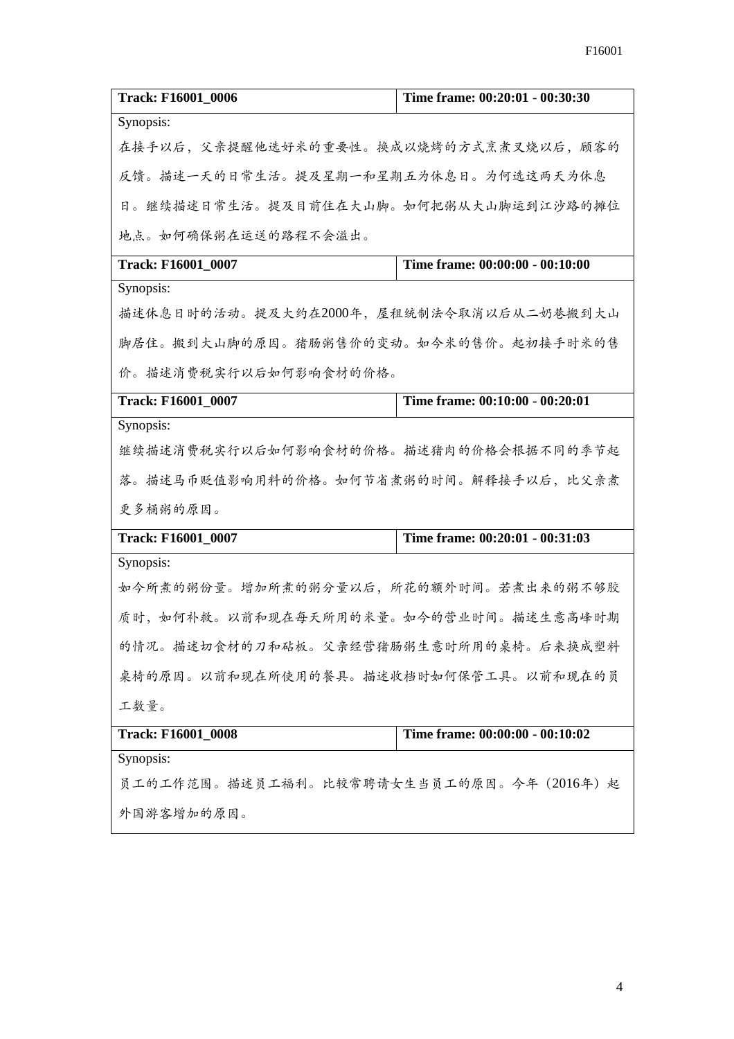| <b>Track: F16001_0006</b>               | Time frame: 00:20:01 - 00:30:30 |  |
|-----------------------------------------|---------------------------------|--|
| Synopsis:                               |                                 |  |
| 在接手以后,父亲提醒他选好米的重要性。换成以烧烤的方式烹煮叉烧以后,顾客的   |                                 |  |
| 反馈。描述一天的日常生活。提及星期一和星期五为休息日。为何选这两天为休息    |                                 |  |
| 日。继续描述日常生活。提及目前住在大山脚。如何把粥从大山脚运到江沙路的摊位   |                                 |  |
| 地点。如何确保粥在运送的路程不会溢出。                     |                                 |  |
| <b>Track: F16001 0007</b>               | Time frame: 00:00:00 - 00:10:00 |  |
| Synopsis:                               |                                 |  |
| 描述休息日时的活动。提及大约在2000年,屋租统制法令取消以后从二奶巷搬到大山 |                                 |  |
| 脚居住。搬到大山脚的原因。猪肠粥售价的变动。如今米的售价。起初接手时米的售   |                                 |  |
| 价。描述消费税实行以后如何影响食材的价格。                   |                                 |  |
| Track: F16001_0007                      | Time frame: 00:10:00 - 00:20:01 |  |
| Synopsis:                               |                                 |  |
| 继续描述消费税实行以后如何影响食材的价格。描述猪肉的价格会根据不同的季节起   |                                 |  |
| 落。描述马币贬值影响用料的价格。如何节省煮粥的时间。解释接手以后,比父亲煮   |                                 |  |
| 更多桶粥的原因。                                |                                 |  |
| Track: F16001_0007                      | Time frame: 00:20:01 - 00:31:03 |  |
| Synopsis:                               |                                 |  |
| 如今所煮的粥份量。增加所煮的粥分量以后,所花的额外时间。若煮出来的粥不够胶   |                                 |  |
| 质时,如何补救。以前和现在每天所用的米量。如今的营业时间。描述生意高峰时期   |                                 |  |
| 的情况。描述切食材的刀和砧板。父亲经营猪肠粥生意时所用的桌椅。后来换成塑料   |                                 |  |
| 桌椅的原因。以前和现在所使用的餐具。描述收档时如何保管工具。以前和现在的员   |                                 |  |
| 工数量。                                    |                                 |  |
| <b>Track: F16001_0008</b>               | Time frame: 00:00:00 - 00:10:02 |  |
| Synopsis:                               |                                 |  |
| 员工的工作范围。描述员工福利。比较常聘请女生当员工的原因。今年(2016年)起 |                                 |  |
| 外国游客增加的原因。                              |                                 |  |
|                                         |                                 |  |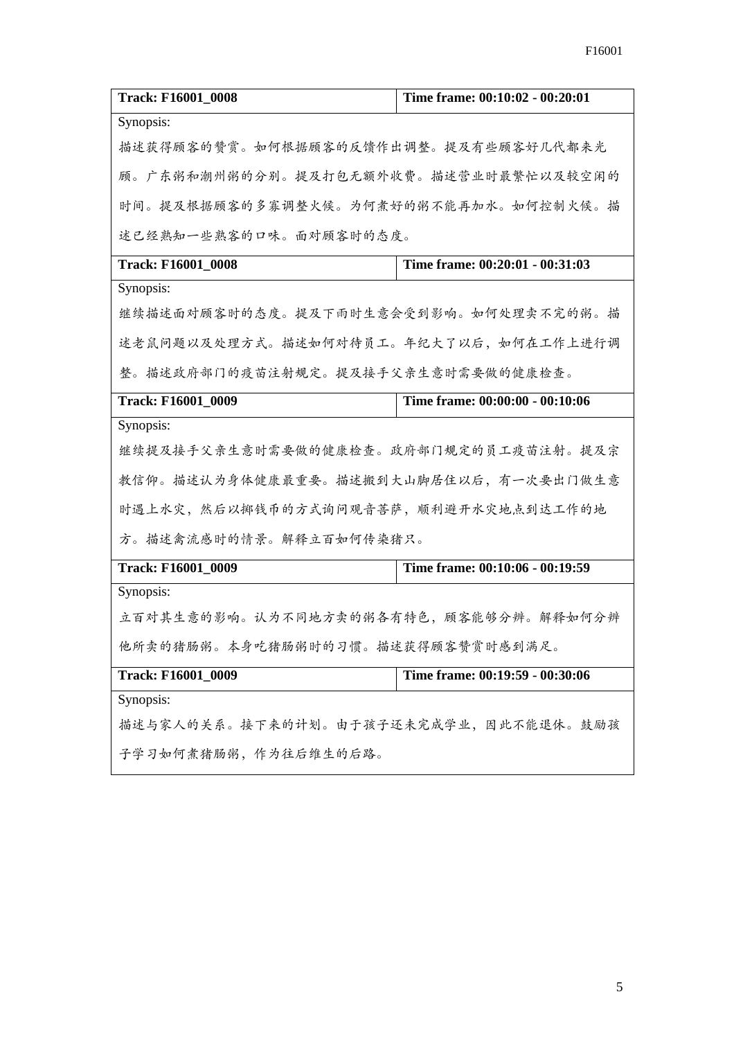| <b>Track: F16001 0008</b>             | Time frame: 00:10:02 - 00:20:01       |  |
|---------------------------------------|---------------------------------------|--|
| Synopsis:                             |                                       |  |
| 描述获得顾客的赞赏。如何根据顾客的反馈作出调整。提及有些顾客好几代都来光  |                                       |  |
| 顾。广东粥和潮州粥的分别。提及打包无额外收费。描述营业时最繁忙以及较空闲的 |                                       |  |
|                                       | 时间。提及根据顾客的多寡调整火候。为何煮好的粥不能再加水。如何控制火候。描 |  |
| 述已经熟知一些熟客的口味。面对顾客时的态度。                |                                       |  |
| <b>Track: F16001_0008</b>             | Time frame: 00:20:01 - 00:31:03       |  |
| Synopsis:                             |                                       |  |
| 继续描述面对顾客时的态度。提及下雨时生意会受到影响。如何处理卖不完的粥。描 |                                       |  |
| 述老鼠问题以及处理方式。描述如何对待员工。年纪大了以后,如何在工作上进行调 |                                       |  |
| 整。描述政府部门的疫苗注射规定。提及接手父亲生意时需要做的健康检查。    |                                       |  |
| Track: F16001_0009                    | Time frame: 00:00:00 - 00:10:06       |  |
| Synopsis:                             |                                       |  |
| 继续提及接手父亲生意时需要做的健康检查。政府部门规定的员工疫苗注射。提及宗 |                                       |  |
| 教信仰。描述认为身体健康最重要。描述搬到大山脚居住以后,有一次要出门做生意 |                                       |  |
| 时遇上水灾,然后以掷钱币的方式询问观音菩萨,顺利避开水灾地点到达工作的地  |                                       |  |
| 方。描述禽流感时的情景。解释立百如何传染猪只。               |                                       |  |
| Track: F16001_0009                    | Time frame: 00:10:06 - 00:19:59       |  |
| Synopsis:                             |                                       |  |
| 立百对其生意的影响。认为不同地方卖的粥各有特色,顾客能够分辨。解释如何分辨 |                                       |  |
| 他所卖的猪肠粥。本身吃猪肠粥时的习惯。描述获得顾客赞赏时感到满足。     |                                       |  |
| Track: F16001_0009                    | Time frame: 00:19:59 - 00:30:06       |  |
| Synopsis:                             |                                       |  |
| 描述与家人的关系。接下来的计划。由于孩子还未完成学业,因此不能退休。鼓励孩 |                                       |  |
| 子学习如何煮猪肠粥,作为往后维生的后路。                  |                                       |  |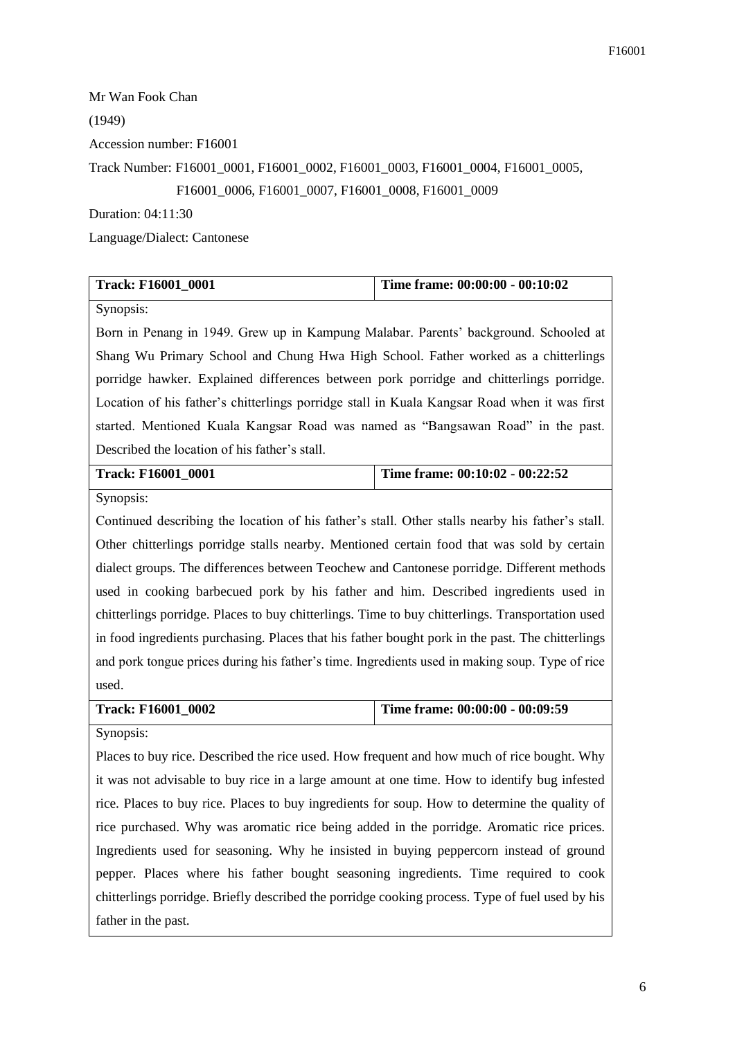F16001

Mr Wan Fook Chan (1949) Accession number: F16001 Track Number: F16001\_0001, F16001\_0002, F16001\_0003, F16001\_0004, F16001\_0005,

F16001\_0006, F16001\_0007, F16001\_0008, F16001\_0009

Duration: 04:11:30

Language/Dialect: Cantonese

| <b>Track: F16001_0001</b>                                                                    | Time frame: 00:00:00 - 00:10:02 |
|----------------------------------------------------------------------------------------------|---------------------------------|
| Synopsis:                                                                                    |                                 |
| Born in Penang in 1949. Grew up in Kampung Malabar. Parents' background. Schooled at         |                                 |
| Shang Wu Primary School and Chung Hwa High School. Father worked as a chitterlings           |                                 |
| porridge hawker. Explained differences between pork porridge and chitterlings porridge.      |                                 |
| Location of his father's chitterlings porridge stall in Kuala Kangsar Road when it was first |                                 |

Described the location of his father's stall.

| <b>Track: F16001 0001</b> | Time frame: $00:10:02 - 00:22:52$ |
|---------------------------|-----------------------------------|
|                           |                                   |

started. Mentioned Kuala Kangsar Road was named as "Bangsawan Road" in the past.

Synopsis:

Continued describing the location of his father's stall. Other stalls nearby his father's stall. Other chitterlings porridge stalls nearby. Mentioned certain food that was sold by certain dialect groups. The differences between Teochew and Cantonese porridge. Different methods used in cooking barbecued pork by his father and him. Described ingredients used in chitterlings porridge. Places to buy chitterlings. Time to buy chitterlings. Transportation used in food ingredients purchasing. Places that his father bought pork in the past. The chitterlings and pork tongue prices during his father's time. Ingredients used in making soup. Type of rice used.

| <b>Track: F16001 0002</b> | Time frame: $00:00:00 - 00:09:59$ |
|---------------------------|-----------------------------------|
| $\sim$ $\sim$             |                                   |

Synopsis:

Places to buy rice. Described the rice used. How frequent and how much of rice bought. Why it was not advisable to buy rice in a large amount at one time. How to identify bug infested rice. Places to buy rice. Places to buy ingredients for soup. How to determine the quality of rice purchased. Why was aromatic rice being added in the porridge. Aromatic rice prices. Ingredients used for seasoning. Why he insisted in buying peppercorn instead of ground pepper. Places where his father bought seasoning ingredients. Time required to cook chitterlings porridge. Briefly described the porridge cooking process. Type of fuel used by his father in the past.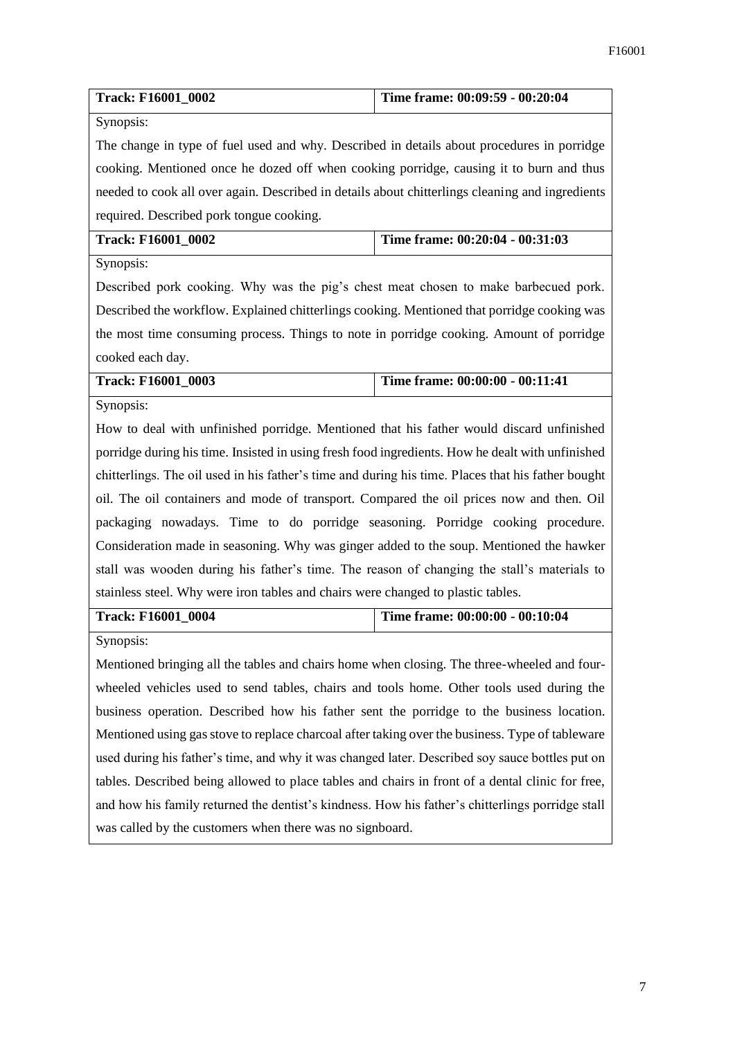| <b>Track: F16001 0002</b> | Time frame: $00:09:59 - 00:20:04$ |
|---------------------------|-----------------------------------|

Synopsis:

The change in type of fuel used and why. Described in details about procedures in porridge cooking. Mentioned once he dozed off when cooking porridge, causing it to burn and thus needed to cook all over again. Described in details about chitterlings cleaning and ingredients required. Described pork tongue cooking.

|  | Time frame: $00:20:04 - 00:31:03$<br><b>Track: F16001 0002</b> |
|--|----------------------------------------------------------------|
|--|----------------------------------------------------------------|

Synopsis:

Described pork cooking. Why was the pig's chest meat chosen to make barbecued pork. Described the workflow. Explained chitterlings cooking. Mentioned that porridge cooking was the most time consuming process. Things to note in porridge cooking. Amount of porridge cooked each day.

| Time frame: $00:00:00 - 00:11:41$<br><b>Track: F16001 0003</b> |
|----------------------------------------------------------------|
|----------------------------------------------------------------|

Synopsis:

How to deal with unfinished porridge. Mentioned that his father would discard unfinished porridge during his time. Insisted in using fresh food ingredients. How he dealt with unfinished chitterlings. The oil used in his father's time and during his time. Places that his father bought oil. The oil containers and mode of transport. Compared the oil prices now and then. Oil packaging nowadays. Time to do porridge seasoning. Porridge cooking procedure. Consideration made in seasoning. Why was ginger added to the soup. Mentioned the hawker stall was wooden during his father's time. The reason of changing the stall's materials to stainless steel. Why were iron tables and chairs were changed to plastic tables.

| <b>Track: F16001 0004</b> | Time frame: 00:00:00 - 00:10:04 |
|---------------------------|---------------------------------|

Synopsis:

Mentioned bringing all the tables and chairs home when closing. The three-wheeled and fourwheeled vehicles used to send tables, chairs and tools home. Other tools used during the business operation. Described how his father sent the porridge to the business location. Mentioned using gas stove to replace charcoal after taking over the business. Type of tableware used during his father's time, and why it was changed later. Described soy sauce bottles put on tables. Described being allowed to place tables and chairs in front of a dental clinic for free, and how his family returned the dentist's kindness. How his father's chitterlings porridge stall was called by the customers when there was no signboard.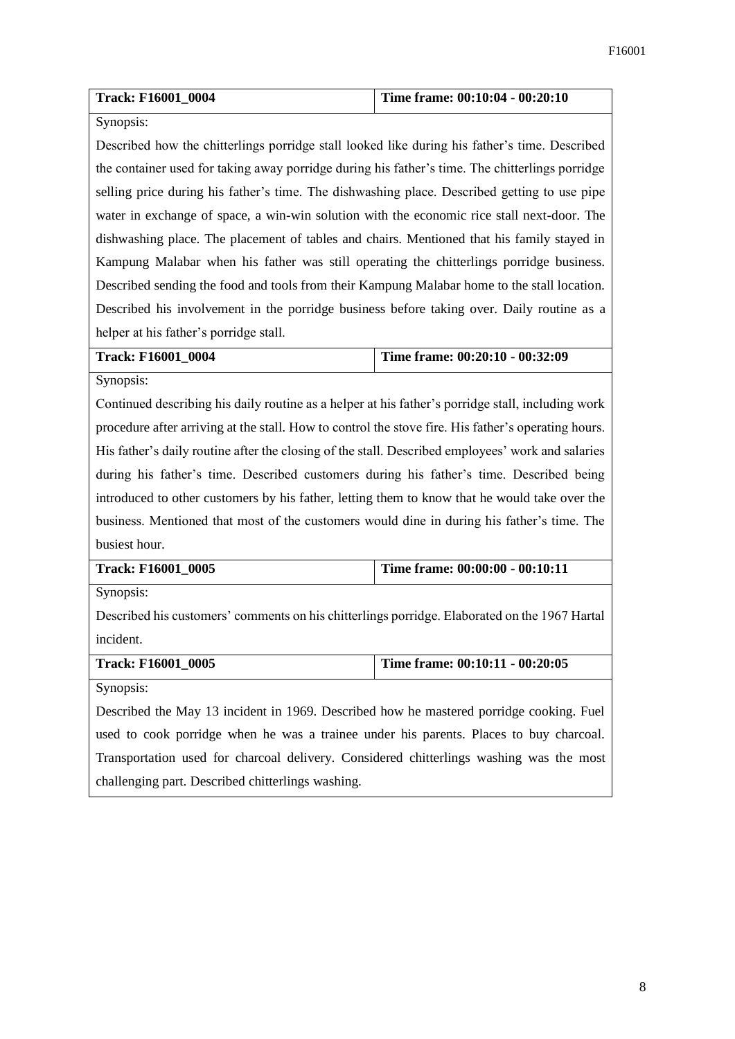| <b>Track: F16001 0004</b> | Time frame: $00:10:04 - 00:20:10$ |
|---------------------------|-----------------------------------|
|                           |                                   |

## Synopsis:

Described how the chitterlings porridge stall looked like during his father's time. Described the container used for taking away porridge during his father's time. The chitterlings porridge selling price during his father's time. The dishwashing place. Described getting to use pipe water in exchange of space, a win-win solution with the economic rice stall next-door. The dishwashing place. The placement of tables and chairs. Mentioned that his family stayed in Kampung Malabar when his father was still operating the chitterlings porridge business. Described sending the food and tools from their Kampung Malabar home to the stall location. Described his involvement in the porridge business before taking over. Daily routine as a helper at his father's porridge stall.

**Track: F16001\_0004 Time frame: 00:20:10 - 00:32:09**

Synopsis:

Continued describing his daily routine as a helper at his father's porridge stall, including work procedure after arriving at the stall. How to control the stove fire. His father's operating hours. His father's daily routine after the closing of the stall. Described employees' work and salaries during his father's time. Described customers during his father's time. Described being introduced to other customers by his father, letting them to know that he would take over the business. Mentioned that most of the customers would dine in during his father's time. The busiest hour.

| <b>Track: F16001 0005</b> | Time frame: $00:00:00 - 00:10:11$ |
|---------------------------|-----------------------------------|
|                           |                                   |

Synopsis:

Described his customers' comments on his chitterlings porridge. Elaborated on the 1967 Hartal incident.

| <b>Track: F16001 0005</b> | Time frame: 00:10:11 - 00:20:05 |
|---------------------------|---------------------------------|
|                           |                                 |

Synopsis:

Described the May 13 incident in 1969. Described how he mastered porridge cooking. Fuel used to cook porridge when he was a trainee under his parents. Places to buy charcoal. Transportation used for charcoal delivery. Considered chitterlings washing was the most challenging part. Described chitterlings washing.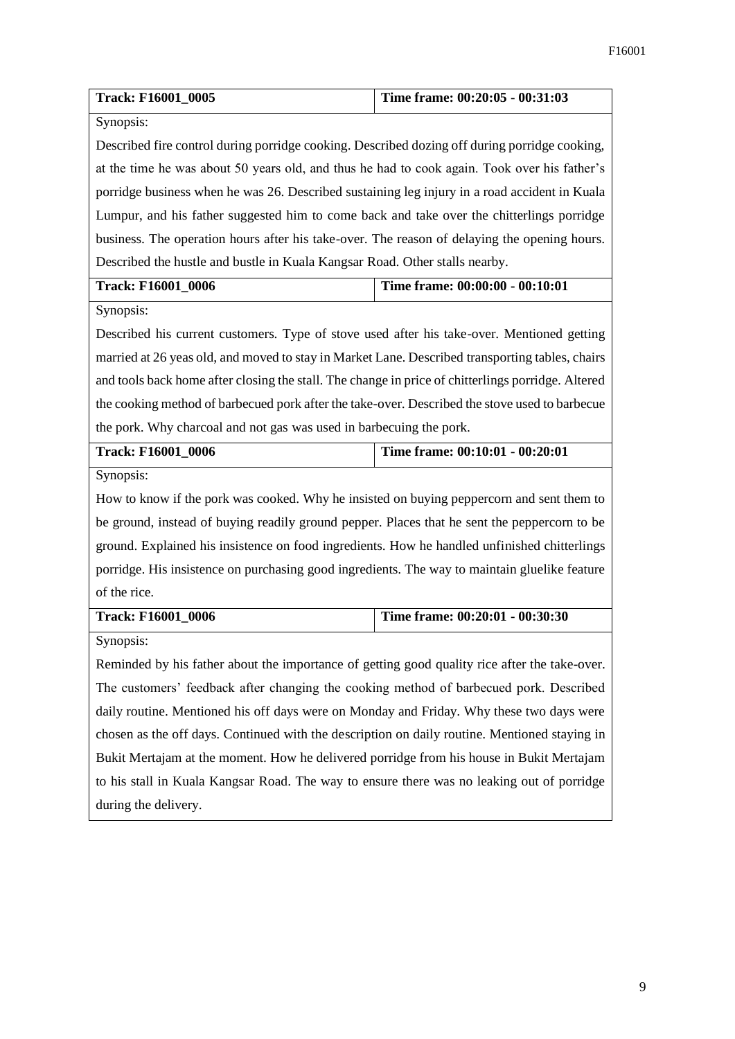| Track: F16001_0005                                                                              | Time frame: 00:20:05 - 00:31:03                                                                    |  |  |
|-------------------------------------------------------------------------------------------------|----------------------------------------------------------------------------------------------------|--|--|
| Synopsis:                                                                                       |                                                                                                    |  |  |
| Described fire control during porridge cooking. Described dozing off during porridge cooking,   |                                                                                                    |  |  |
| at the time he was about 50 years old, and thus he had to cook again. Took over his father's    |                                                                                                    |  |  |
| porridge business when he was 26. Described sustaining leg injury in a road accident in Kuala   |                                                                                                    |  |  |
| Lumpur, and his father suggested him to come back and take over the chitterlings porridge       |                                                                                                    |  |  |
| business. The operation hours after his take-over. The reason of delaying the opening hours.    |                                                                                                    |  |  |
| Described the hustle and bustle in Kuala Kangsar Road. Other stalls nearby.                     |                                                                                                    |  |  |
| <b>Track: F16001_0006</b>                                                                       | Time frame: 00:00:00 - 00:10:01                                                                    |  |  |
| Synopsis:                                                                                       |                                                                                                    |  |  |
| Described his current customers. Type of stove used after his take-over. Mentioned getting      |                                                                                                    |  |  |
| married at 26 yeas old, and moved to stay in Market Lane. Described transporting tables, chairs |                                                                                                    |  |  |
|                                                                                                 | and tools back home after closing the stall. The change in price of chitterlings porridge. Altered |  |  |
| the cooking method of barbecued pork after the take-over. Described the stove used to barbecue  |                                                                                                    |  |  |
| the pork. Why charcoal and not gas was used in barbecuing the pork.                             |                                                                                                    |  |  |
| Track: F16001_0006                                                                              | Time frame: 00:10:01 - 00:20:01                                                                    |  |  |
| Synopsis:                                                                                       |                                                                                                    |  |  |
| How to know if the pork was cooked. Why he insisted on buying peppercorn and sent them to       |                                                                                                    |  |  |
| be ground, instead of buying readily ground pepper. Places that he sent the peppercorn to be    |                                                                                                    |  |  |
| ground. Explained his insistence on food ingredients. How he handled unfinished chitterlings    |                                                                                                    |  |  |
| porridge. His insistence on purchasing good ingredients. The way to maintain gluelike feature   |                                                                                                    |  |  |
| of the rice.                                                                                    |                                                                                                    |  |  |
| Track: F16001_0006                                                                              | Time frame: 00:20:01 - 00:30:30                                                                    |  |  |
| Synopsis:                                                                                       |                                                                                                    |  |  |
| Reminded by his father about the importance of getting good quality rice after the take-over.   |                                                                                                    |  |  |
| The customers' feedback after changing the cooking method of barbecued pork. Described          |                                                                                                    |  |  |
| daily routine. Mentioned his off days were on Monday and Friday. Why these two days were        |                                                                                                    |  |  |
| chosen as the off days. Continued with the description on daily routine. Mentioned staying in   |                                                                                                    |  |  |
| Bukit Mertajam at the moment. How he delivered porridge from his house in Bukit Mertajam        |                                                                                                    |  |  |
| to his stall in Kuala Kangsar Road. The way to ensure there was no leaking out of porridge      |                                                                                                    |  |  |
| during the delivery.                                                                            |                                                                                                    |  |  |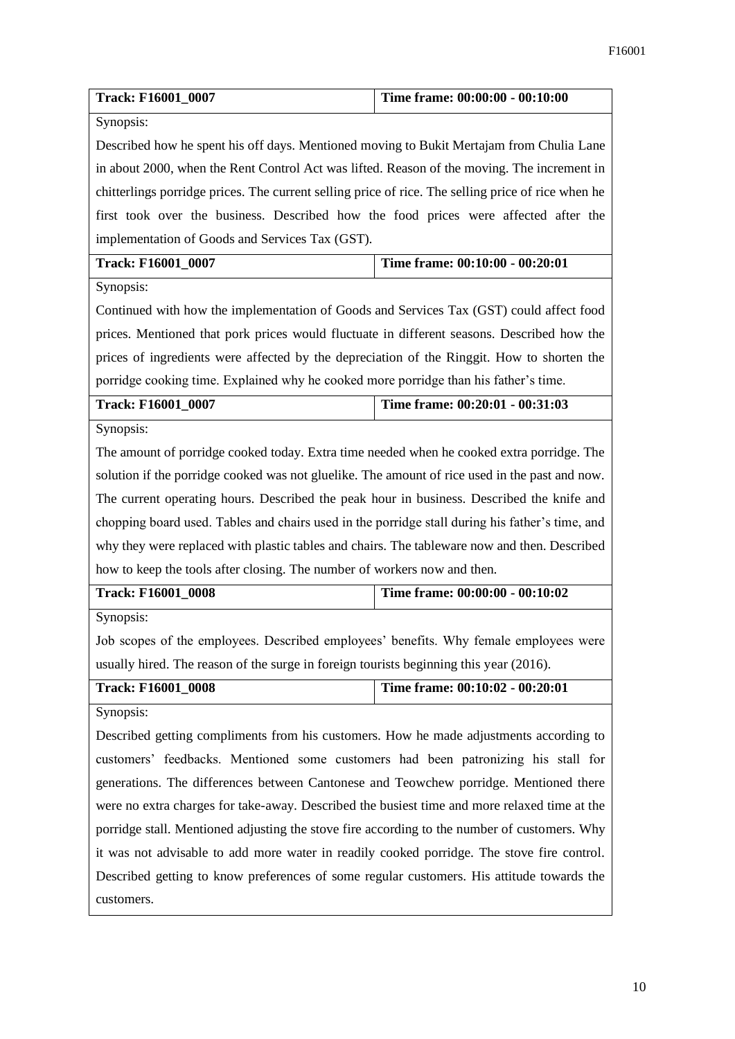| Track: F16001_0007                                                                                 | Time frame: 00:00:00 - 00:10:00 |  |
|----------------------------------------------------------------------------------------------------|---------------------------------|--|
| Synopsis:                                                                                          |                                 |  |
| Described how he spent his off days. Mentioned moving to Bukit Mertajam from Chulia Lane           |                                 |  |
| in about 2000, when the Rent Control Act was lifted. Reason of the moving. The increment in        |                                 |  |
| chitterlings porridge prices. The current selling price of rice. The selling price of rice when he |                                 |  |
| first took over the business. Described how the food prices were affected after the                |                                 |  |
| implementation of Goods and Services Tax (GST).                                                    |                                 |  |
| <b>Track: F16001_0007</b>                                                                          | Time frame: 00:10:00 - 00:20:01 |  |
| Synopsis:                                                                                          |                                 |  |
| Continued with how the implementation of Goods and Services Tax (GST) could affect food            |                                 |  |
| prices. Mentioned that pork prices would fluctuate in different seasons. Described how the         |                                 |  |
| prices of ingredients were affected by the depreciation of the Ringgit. How to shorten the         |                                 |  |
| porridge cooking time. Explained why he cooked more porridge than his father's time.               |                                 |  |
| Track: F16001_0007                                                                                 | Time frame: 00:20:01 - 00:31:03 |  |
| Synopsis:                                                                                          |                                 |  |
| The amount of porridge cooked today. Extra time needed when he cooked extra porridge. The          |                                 |  |
| solution if the porridge cooked was not gluelike. The amount of rice used in the past and now.     |                                 |  |
| The current operating hours. Described the peak hour in business. Described the knife and          |                                 |  |
| chopping board used. Tables and chairs used in the porridge stall during his father's time, and    |                                 |  |
| why they were replaced with plastic tables and chairs. The tableware now and then. Described       |                                 |  |
| how to keep the tools after closing. The number of workers now and then.                           |                                 |  |
| <b>Track: F16001_0008</b>                                                                          | Time frame: 00:00:00 - 00:10:02 |  |
| Synopsis:                                                                                          |                                 |  |
| Job scopes of the employees. Described employees' benefits. Why female employees were              |                                 |  |
| usually hired. The reason of the surge in foreign tourists beginning this year (2016).             |                                 |  |
| <b>Track: F16001_0008</b>                                                                          | Time frame: 00:10:02 - 00:20:01 |  |
| Synopsis:                                                                                          |                                 |  |
| Described getting compliments from his customers. How he made adjustments according to             |                                 |  |
| customers' feedbacks. Mentioned some customers had been patronizing his stall for                  |                                 |  |
| generations. The differences between Cantonese and Teowchew porridge. Mentioned there              |                                 |  |
| were no extra charges for take-away. Described the busiest time and more relaxed time at the       |                                 |  |
| porridge stall. Mentioned adjusting the stove fire according to the number of customers. Why       |                                 |  |
| it was not advisable to add more water in readily cooked porridge. The stove fire control.         |                                 |  |
| Described getting to know preferences of some regular customers. His attitude towards the          |                                 |  |
| customers.                                                                                         |                                 |  |